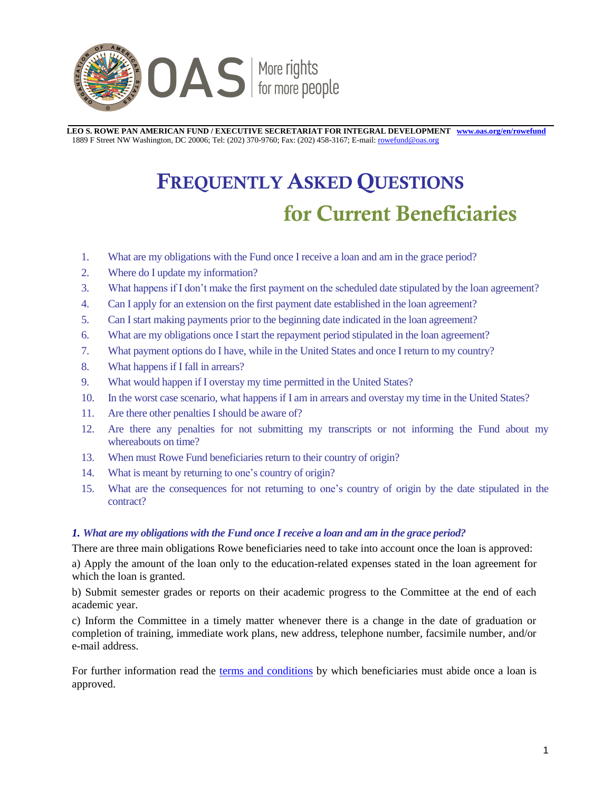

 **LEO S. ROWE PAN AMERICAN FUND / EXECUTIVE SECRETARIAT FOR INTEGRAL DEVELOPMENT [www.oas.org/en/rowefund](http://www.oas.org/en/rowefund)** 1889 F Street NW Washington, DC 20006; Tel: (202) 370-9760; Fax: (202) 458-3167; E-mail[: rowefund@oas.org](mailto:rowefund@oas.org)

# **FREQUENTLY ASKED QUESTIONS for Current Beneficiaries**

- 1. [What are my obligations with the Fund once I receive a loan and am in the grace period?](#page-0-0)
- 2. [Where do I update my information?](#page-1-0)
- 3. [What happens if I don't make the first payment on the scheduled date stipulated by the loan agreement?](#page-1-1)
- 4. [Can I apply for an extension on the first payment date established in the loan agreement?](#page-1-2)
- 5. [Can I start making payments prior to the beginning date indicated in the loan agreement?](#page-1-3)
- 6. [What are my obligations once I start the repayment period stipulated in the loan agreement?](#page-2-0)
- 7. [What payment options do I have, while in the United States and once I return to my country?](#page-2-1)
- 8. [What happens if I fall in arrears?](#page-2-2)
- 9. [What would happen if I overstay my time permitted in the United States?](#page-3-0)
- 10. [In the worst case scenario, what happens if I am in arrears and overstay my time in the United States?](#page-3-1)
- 11. [Are there other penalties I should be aware of?](#page-3-2)
- 12. [Are there any penalties for not submitting my transcripts or not informing the Fund about my](#page-3-3) [whereabouts on time?](#page-3-3)
- 13. [When must Rowe Fund beneficiaries return to their country of origin?](#page-3-4)
- 14. [What is meant by returning to one's country of origin?](#page-3-5)
- 15. [What are the consequences for not returning to one's country of origin by the date stipulated in the](#page-3-6) [contract?](#page-3-6)

# <span id="page-0-0"></span>*1. What are my obligations with the Fund once I receive a loan and am in the grace period?*

There are three main obligations Rowe beneficiaries need to take into account once the loan is approved:

a) Apply the amount of the loan only to the education-related expenses stated in the loan agreement for which the loan is granted.

b) Submit semester grades or reports on their academic progress to the Committee at the end of each academic year.

c) Inform the Committee in a timely matter whenever there is a change in the date of graduation or completion of training, immediate work plans, new address, telephone number, facsimile number, and/or e-mail address.

For further information read the [terms and conditions](http://www.oas.org/en/rowefund/Terms-Conditions.pdf) by which beneficiaries must abide once a loan is approved.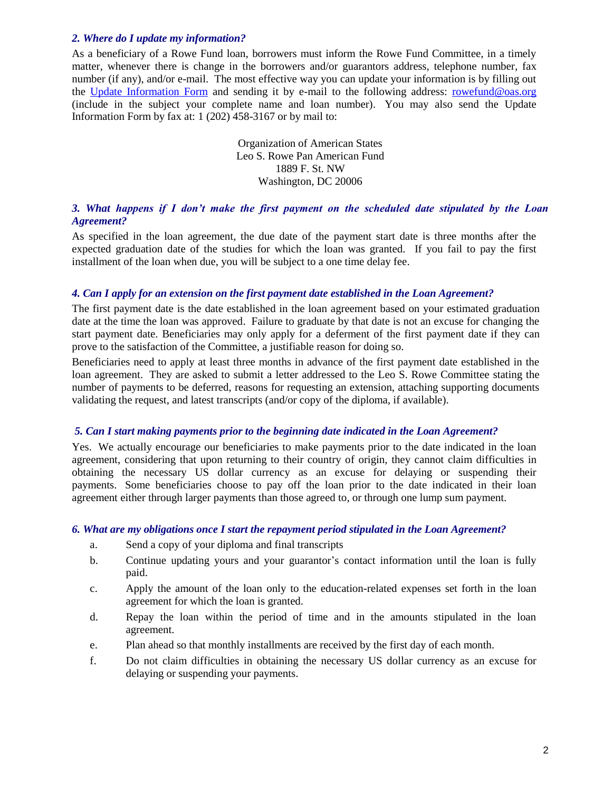# <span id="page-1-0"></span>*2. Where do I update my information?*

<span id="page-1-1"></span>As a beneficiary of a Rowe Fund loan, borrowers must inform the Rowe Fund Committee, in a timely matter, whenever there is change in the borrowers and/or guarantors address, telephone number, fax number (if any), and/or e-mail. The most effective way you can update your information is by filling out the [Update Information Form](https://www.oas.org/forms/TakeSurvey.aspx?SurveyID=m8108n8) and sending it by e-mail to the following address: [rowefund@oas.org](mailto:rowefund@oas.org?subject=TO%20UPDATE%20INFORMATION:%20LOAN%20NUMBER) (include in the subject your complete name and loan number). You may also send the Update Information Form by fax at: 1 (202) 458-3167 or by mail to:

> Organization of American States Leo S. Rowe Pan American Fund 1889 F. St. NW Washington, DC 20006

# *3. What happens if I don't make the first payment on the scheduled date stipulated by the Loan Agreement?*

As specified in the loan agreement, the due date of the payment start date is three months after the expected graduation date of the studies for which the loan was granted. If you fail to pay the first installment of the loan when due, you will be subject to a one time delay fee.

## *4. Can I apply for an extension on the first payment date established in the Loan Agreement?*

The first payment date is the date established in the loan agreement based on your estimated graduation date at the time the loan was approved. Failure to graduate by that date is not an excuse for changing the start payment date. Beneficiaries may only apply for a deferment of the first payment date if they can prove to the satisfaction of the Committee, a justifiable reason for doing so.

Beneficiaries need to apply at least three months in advance of the first payment date established in the loan agreement. They are asked to submit a letter addressed to the Leo S. Rowe Committee stating the number of payments to be deferred, reasons for requesting an extension, attaching supporting documents validating the request, and latest transcripts (and/or copy of the diploma, if available).

#### <span id="page-1-2"></span>*5. Can I start making payments prior to the beginning date indicated in the Loan Agreement?*

Yes. We actually encourage our beneficiaries to make payments prior to the date indicated in the loan agreement, considering that upon returning to their country of origin, they cannot claim difficulties in obtaining the necessary US dollar currency as an excuse for delaying or suspending their payments. Some beneficiaries choose to pay off the loan prior to the date indicated in their loan agreement either through larger payments than those agreed to, or through one lump sum payment.

#### <span id="page-1-3"></span>*6. What are my obligations once I start the repayment period stipulated in the Loan Agreement?*

- a. Send a copy of your diploma and final transcripts
- b. Continue updating yours and your guarantor's contact information until the loan is fully paid.
- c. Apply the amount of the loan only to the education-related expenses set forth in the loan agreement for which the loan is granted.
- d. Repay the loan within the period of time and in the amounts stipulated in the loan agreement.
- e. Plan ahead so that monthly installments are received by the first day of each month.
- f. Do not claim difficulties in obtaining the necessary US dollar currency as an excuse for delaying or suspending your payments.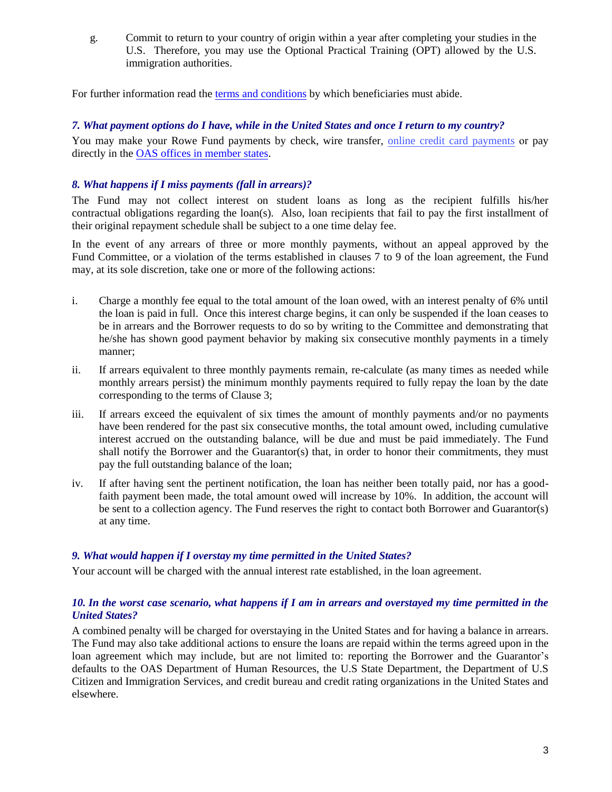g. Commit to return to your country of origin within a year after completing your studies in the U.S. Therefore, you may use the Optional Practical Training (OPT) allowed by the U.S. immigration authorities.

<span id="page-2-0"></span>For further information read the [terms and conditions b](http://www.oas.org/en/rowefund/Terms-Conditions.pdf)y which beneficiaries must abide.

# *7. What payment options do I have, while in the United States and once I return to my country?*

You may make your Rowe Fund payments by check, wire transfer, [online credit card payments](https://www.oas.org/cc/payments/rowef/en/default.aspx) or pay directly in the OAS offices in member states.

# <span id="page-2-1"></span>*8. What happens if I miss payments (fall in arrears)?*

The Fund may not collect interest on student loans as long as the recipient fulfills his/her contractual obligations regarding the loan(s). Also, loan recipients that fail to pay the first installment of their original repayment schedule shall be subject to a one time delay fee.

<span id="page-2-2"></span>In the event of any arrears of three or more monthly payments, without an appeal approved by the Fund Committee, or a violation of the terms established in clauses 7 to 9 of the loan agreement, the Fund may, at its sole discretion, take one or more of the following actions:

- i. Charge a monthly fee equal to the total amount of the loan owed, with an interest penalty of 6% until the loan is paid in full. Once this interest charge begins, it can only be suspended if the loan ceases to be in arrears and the Borrower requests to do so by writing to the Committee and demonstrating that he/she has shown good payment behavior by making six consecutive monthly payments in a timely manner;
- ii. If arrears equivalent to three monthly payments remain, re-calculate (as many times as needed while monthly arrears persist) the minimum monthly payments required to fully repay the loan by the date corresponding to the terms of Clause 3;
- iii. If arrears exceed the equivalent of six times the amount of monthly payments and/or no payments have been rendered for the past six consecutive months, the total amount owed, including cumulative interest accrued on the outstanding balance, will be due and must be paid immediately. The Fund shall notify the Borrower and the Guarantor(s) that, in order to honor their commitments, they must pay the full outstanding balance of the loan;
- iv. If after having sent the pertinent notification, the loan has neither been totally paid, nor has a goodfaith payment been made, the total amount owed will increase by 10%. In addition, the account will be sent to a collection agency. The Fund reserves the right to contact both Borrower and Guarantor(s) at any time.

# *9. What would happen if I overstay my time permitted in the United States?*

Your account will be charged with the annual interest rate established, in the loan agreement.

# *10. In the worst case scenario, what happens if I am in arrears and overstayed my time permitted in the United States?*

A combined penalty will be charged for overstaying in the United States and for having a balance in arrears. The Fund may also take additional actions to ensure the loans are repaid within the terms agreed upon in the loan agreement which may include, but are not limited to: reporting the Borrower and the Guarantor's defaults to the OAS Department of Human Resources, the U.S State Department, the Department of U.S Citizen and Immigration Services, and credit bureau and credit rating organizations in the United States and elsewhere.